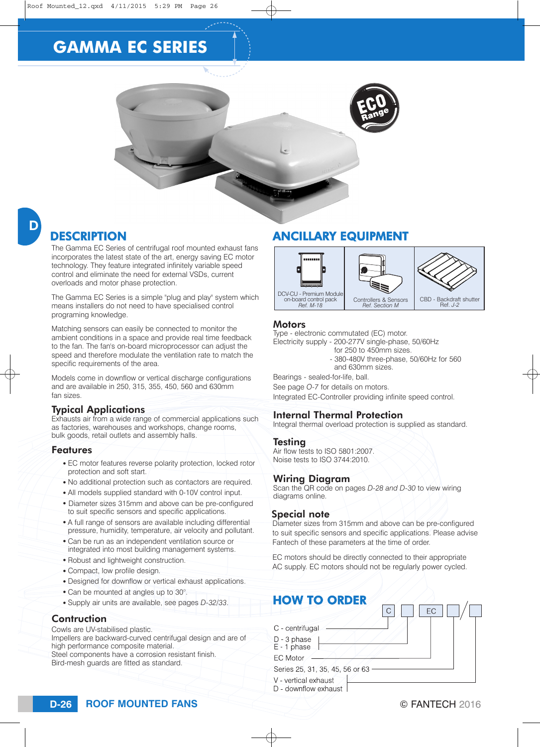

## **DESCRIPTION**

The Gamma EC Series of centrifugal roof mounted exhaust fans incorporates the latest state of the art, energy saving EC motor technology. They feature integrated infinitely variable speed control and eliminate the need for external VSDs, current overloads and motor phase protection.

The Gamma EC Series is a simple "plug and play" system which means installers do not need to have specialised control programing knowledge.

Matching sensors can easily be connected to monitor the ambient conditions in a space and provide real time feedback to the fan. The fan's on-board microprocessor can adjust the speed and therefore modulate the ventilation rate to match the specific requirements of the area.

Models come in downflow or vertical discharge configurations and are available in 250, 315, 355, 450, 560 and 630mm fan sizes.

### Typical Applications

Exhausts air from a wide range of commercial applications such as factories, warehouses and workshops, change rooms, bulk goods, retail outlets and assembly halls.

### Features

- EC motor features reverse polarity protection, locked rotor protection and soft start.
- No additional protection such as contactors are required.
- All models supplied standard with 0-10V control input.
- Diameter sizes 315mm and above can be pre-configured to suit specific sensors and specific applications.
- A full range of sensors are available including differential pressure, humidity, temperature, air velocity and pollutant.
- Can be run as an independent ventilation source or integrated into most building management systems.
- Robust and lightweight construction.
- Compact, low profile design.
- Designed for downflow or vertical exhaust applications.
- Can be mounted at angles up to 30°.
- Supply air units are available, see pages *D-32/33*.

#### **Contruction**

Cowls are UV-stabilised plastic.

Impellers are backward-curved centrifugal design and are of high performance composite material. Steel components have a corrosion resistant finish.

Bird-mesh guards are fitted as standard.

## ANCILLARY EQUIPMENT



#### **Motors**

Type - electronic commutated (EC) motor.

- Electricity supply 200-277V single-phase, 50/60Hz for 250 to 450mm sizes.
	- 380-480V three-phase, 50/60Hz for 560
	- and 630mm sizes.
- Bearings sealed-for-life, ball.
- See page *O-7* for details on motors.

Integrated EC-Controller providing infinite speed control.

### Internal Thermal Protection

Integral thermal overload protection is supplied as standard.

#### Testing

Air flow tests to ISO 5801:2007. Noise tests to ISO 3744:2010.

#### Wiring Diagram

Scan the QR code on pages *D-28 and D-30* to view wiring diagrams online.

#### Special note

Diameter sizes from 315mm and above can be pre-configured to suit specific sensors and specific applications. Please advise Fantech of these parameters at the time of order.

EC motors should be directly connected to their appropriate AC supply. EC motors should not be regularly power cycled.

## HOW TO ORDER

 $\mathsf{C}$ FC C - centrifugal D - 3 phase E - 1 phase EC Motor Series 25, 31, 35, 45, 56 or 63 V - vertical exhaust D - downflow exhaust

**ROOF MOUNTED FANS D-26** © FANTECH 2016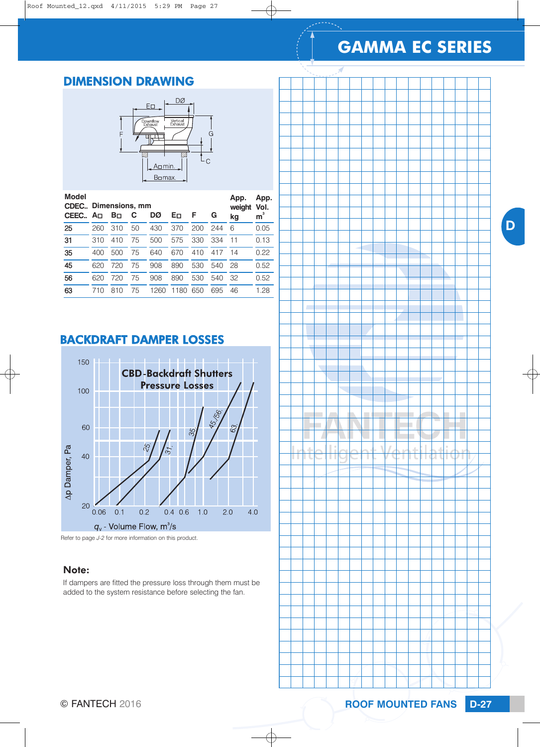D

## DIMENSION DRAWING



| <b>Model</b> | <b>CDEC.</b> , Dimensions, mm |     |    |      |          |     |     | App.<br>weight | App.<br>Vol. |
|--------------|-------------------------------|-----|----|------|----------|-----|-----|----------------|--------------|
| CEEC         | Ao.                           | Bп  | С  | DØ   | Eо       | F   | G   | kg             | m            |
| 25           | 260                           | 310 | 50 | 430  | 370      | 200 | 244 | 6              | 0.05         |
| 31           | 310                           | 410 | 75 | 500  | 575      | 330 | 334 | 11             | 0.13         |
| 35           | 400                           | 500 | 75 | 640  | 670      | 410 | 417 | 14             | 0.22         |
| 45           | 620                           | 720 | 75 | 908  | 890      | 530 | 540 | 28             | 0.52         |
| 56           | 620                           | 720 | 75 | 908  | 890      | 530 | 540 | 32             | 0.52         |
| 63           | 710                           | 810 | 75 | 1260 | 180<br>1 | 650 | 695 | 46             | 1.28         |

## BACKDRAFT DAMPER LOSSES



Refer to page *J-2* for more information on this product.

### Note:

If dampers are fitted the pressure loss through them must be added to the system resistance before selecting the fan.

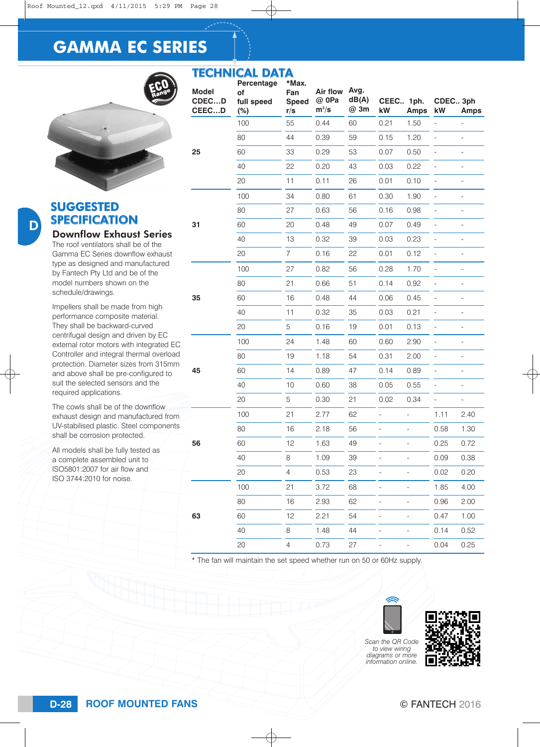TECHNICAL DATA



### SUGGESTED SPECIFICATION Downflow Exhaust Series

D

The roof ventilators shall be of the Gamma EC Series downflow exhaust type as designed and manufactured by Fantech Pty Ltd and be of the model numbers shown on the schedule/drawings.

Impellers shall be made from high performance composite material. They shall be backward-curved centrifugal design and driven by EC external rotor motors with integrated EC Controller and integral thermal overload protection. Diameter sizes from 315mm and above shall be pre-configured to suit the selected sensors and the required applications.

The cowls shall be of the downflow exhaust design and manufactured from UV-stabilised plastic. Steel components shall be corrosion protected.

All models shall be fully tested as a complete assembled unit to ISO5801:2007 for air flow and ISO 3744:2010 for noise.

**Model CDEC…D CEEC…D Percentage of full speed (%) \*Max. Fan Speed r/s Air flow @ 0Pa**   $m^3$ /s **Avg. dB(A) @ 3m kW Amps kW Amps 25**  100 55 0.44 60 0.21 1.50 - - 80 44 0.39 59 0.15 1.20 - - 60 33 0.29 53 0.07 0.50 - - 40 22 0.20 43 0.03 0.22 - - 20 11 0.11 26 0.01 0.10 - - **31**  100 34 0.80 61 0.30 1.90 - - 80 27 0.63 56 0.16 0.98 - - 60 20 0.48 49 0.07 0.49 - - 40 13 0.32 39 0.03 0.23 - - 20 7 0.16 22 0.01 0.12 - - **35**  100 27 0.82 56 0.28 1.70 - - 80 21 0.66 51 0.14 0.92 - - 60 16 0.48 44 0.06 0.45 - - 40 11 0.32 35 0.03 0.21 - - 20 5 0.16 19 0.01 0.13 - - **45**  100 24 1.48 60 0.60 2.90 - - 80 19 1.18 54 0.31 2.00 - - 60 14 0.89 47 0.14 0.89 - - 40 10 0.60 38 0.05 0.55 - - 20 5 0.30 21 0.02 0.34 - - **56**  100 21 2.77 62 - - 1.11 2.40 80 16 2.18 56 - - 0.58 1.30 60 12 1.63 49 - - 0.25 0.72 40 8 1.09 39 - - 0.09 0.38 20 4 0.53 23 - - 0.02 0.20 **63** 100 21 3.72 68 - - 1.85 4.00 80 16 2.93 62 - - 0.96 2.00 60 12 2.21 54 - - 0.47 1.00 40 8 1.48 44 - - 0.14 0.52 20 4 0.73 27 - - 0.04 0.25 **CEEC.. 1ph. CDEC.. 3ph**

The fan will maintain the set speed whether run on 50 or 60Hz supply.





*Scan the QR Code to view wiring diagrams or more information online.*

## **ROOF MOUNTED FANS D-28** © FANTECH 2016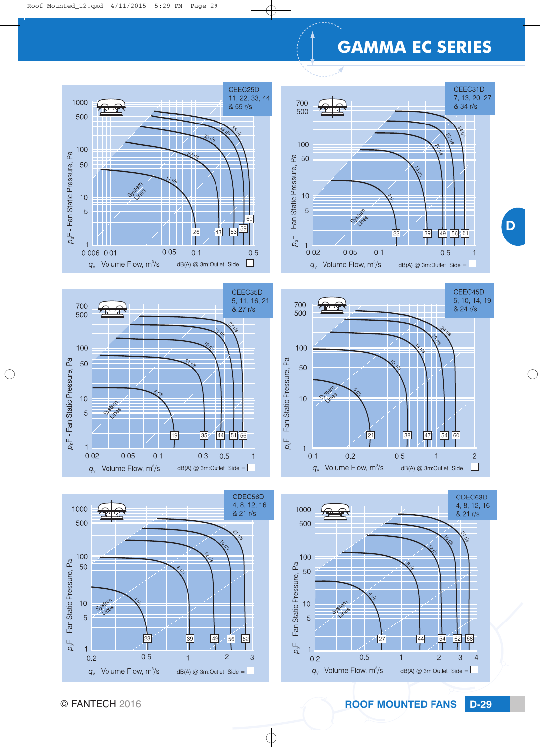D













© FANTECH 2016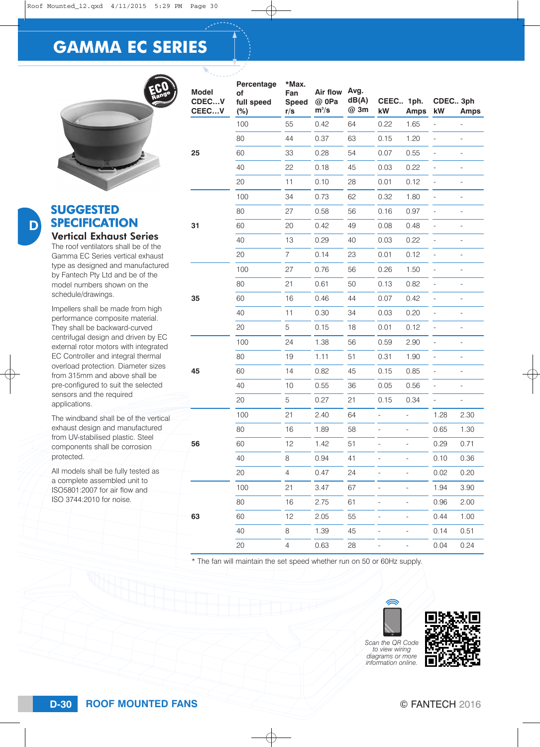

### SUGGESTED **SPECIFICATION** Vertical Exhaust Series

D

The roof ventilators shall be of the Gamma EC Series vertical exhaust type as designed and manufactured by Fantech Pty Ltd and be of the model numbers shown on the schedule/drawings.

Impellers shall be made from high performance composite material. They shall be backward-curved centrifugal design and driven by EC external rotor motors with integrated EC Controller and integral thermal overload protection. Diameter sizes from 315mm and above shall be pre-configured to suit the selected sensors and the required applications.

The windband shall be of the vertical exhaust design and manufactured from UV-stabilised plastic. Steel components shall be corrosion protected. All models shall be fully tested as

a complete assembled unit to ISO5801:2007 for air flow and ISO 3744:2010 for noise.

| e  | <b>Model</b><br>CDECV<br>CEECV | Percentage<br>of<br>full speed<br>(%) | *Max.<br>Fan<br><b>Speed</b><br>r/s | Air flow<br>@ 0Pa<br>$m^3/s$ | Avg.<br>dB(A)<br>@ 3m | CEEC 1ph.<br>kW | <b>Amps</b> | CDEC 3ph<br>kW               | Amps                     |
|----|--------------------------------|---------------------------------------|-------------------------------------|------------------------------|-----------------------|-----------------|-------------|------------------------------|--------------------------|
|    |                                | 100                                   | 55                                  | 0.42                         | 64                    | 0.22            | 1.65        | $\overline{a}$               |                          |
|    |                                | 80                                    | 44                                  | 0.37                         | 63                    | 0.15            | 1.20        | $\overline{\phantom{a}}$     | $\frac{1}{2}$            |
|    | 25                             | 60                                    | 33                                  | 0.28                         | 54                    | 0.07            | 0.55        | $\qquad \qquad -$            | $\qquad \qquad -$        |
|    |                                | 40                                    | 22                                  | 0.18                         | 45                    | 0.03            | 0.22        | $\overline{\phantom{a}}$     | $\overline{\phantom{0}}$ |
|    |                                | 20                                    | 11                                  | 0.10                         | 28                    | 0.01            | 0.12        | $\overline{\phantom{0}}$     | $\overline{a}$           |
|    |                                | 100                                   | 34                                  | 0.73                         | 62                    | 0.32            | 1.80        | $\qquad \qquad -$            | $\overline{\phantom{0}}$ |
|    |                                | 80                                    | 27                                  | 0.58                         | 56                    | 0.16            | 0.97        |                              |                          |
|    | 31                             | 60                                    | 20                                  | 0.42                         | 49                    | 0.08            | 0.48        | $\overline{a}$               |                          |
|    |                                | 40                                    | 13                                  | 0.29                         | 40                    | 0.03            | 0.22        |                              |                          |
|    |                                | 20                                    | $\overline{7}$                      | 0.14                         | 23                    | 0.01            | 0.12        | $\overline{a}$               |                          |
| J  |                                | 100                                   | 27                                  | 0.76                         | 56                    | 0.26            | 1.50        | $\overline{a}$               |                          |
|    |                                | 80                                    | 21                                  | 0.61                         | 50                    | 0.13            | 0.82        | $\overline{a}$               |                          |
|    | 35                             | 60                                    | 16                                  | 0.46                         | 44                    | 0.07            | 0.42        |                              | -                        |
|    |                                | 40                                    | 11                                  | 0.30                         | 34                    | 0.03            | 0.20        |                              |                          |
|    |                                | 20                                    | 5                                   | 0.15                         | 18                    | 0.01            | 0.12        | $\qquad \qquad \blacksquare$ | $\overline{a}$           |
|    |                                | 100                                   | 24                                  | 1.38                         | 56                    | 0.59            | 2.90        |                              | $\overline{\phantom{0}}$ |
|    |                                | 80                                    | 19                                  | 1.11                         | 51                    | 0.31            | 1.90        | $\overline{a}$               | $\overline{\phantom{0}}$ |
|    | 45                             | 60                                    | 14                                  | 0.82                         | 45                    | 0.15            | 0.85        | $\qquad \qquad -$            | -                        |
|    |                                | 40                                    | 10                                  | 0.55                         | 36                    | 0.05            | 0.56        | $\qquad \qquad -$            | $\overline{\phantom{0}}$ |
|    |                                | 20                                    | 5                                   | 0.27                         | 21                    | 0.15            | 0.34        | $\overline{\phantom{0}}$     |                          |
| al |                                | 100                                   | 21                                  | 2.40                         | 64                    |                 |             | 1.28                         | 2.30                     |
|    |                                | 80                                    | 16                                  | 1.89                         | 58                    |                 |             | 0.65                         | 1.30                     |
|    | 56                             | 60                                    | 12                                  | 1.42                         | 51                    |                 |             | 0.29                         | 0.71                     |
|    |                                | 40                                    | 8                                   | 0.94                         | 41                    |                 |             | 0.10                         | 0.36                     |
|    |                                | 20                                    | $\overline{4}$                      | 0.47                         | 24                    |                 |             | 0.02                         | 0.20                     |
|    |                                | 100                                   | 21                                  | 3.47                         | 67                    |                 |             | 1.94                         | 3.90                     |
|    |                                | 80                                    | 16                                  | 2.75                         | 61                    |                 |             | 0.96                         | 2.00                     |
|    | 63                             | 60                                    | 12                                  | 2.05                         | 55                    |                 |             | 0.44                         | 1.00                     |
|    |                                | 40                                    | 8                                   | 1.39                         | 45                    |                 |             | 0.14                         | 0.51                     |
|    |                                | 20                                    | $\overline{4}$                      | 0.63                         | 28                    |                 |             | 0.04                         | 0.24                     |

\* The fan will maintain the set speed whether run on 50 or 60Hz supply.





*Scan the QR Code to view wiring diagrams or more information online.*